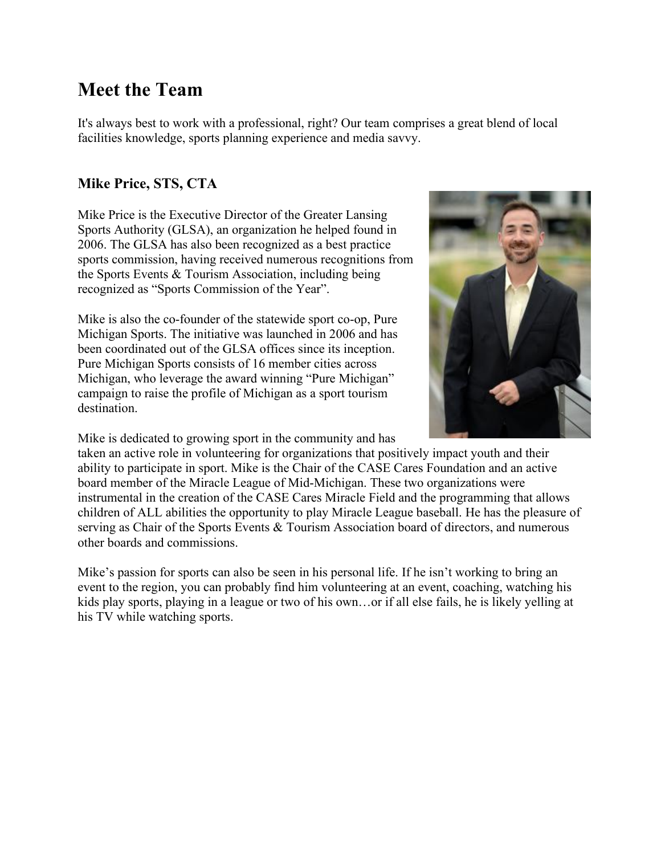# **Meet the Team**

It's always best to work with a professional, right? Our team comprises a great blend of local facilities knowledge, sports planning experience and media savvy.

#### **Mike Price, STS, CTA**

Mike Price is the Executive Director of the Greater Lansing Sports Authority (GLSA), an organization he helped found in 2006. The GLSA has also been recognized as a best practice sports commission, having received numerous recognitions from the Sports Events & Tourism Association, including being recognized as "Sports Commission of the Year".

Mike is also the co-founder of the statewide sport co-op, Pure Michigan Sports. The initiative was launched in 2006 and has been coordinated out of the GLSA offices since its inception. Pure Michigan Sports consists of 16 member cities across Michigan, who leverage the award winning "Pure Michigan" campaign to raise the profile of Michigan as a sport tourism destination.

Mike is dedicated to growing sport in the community and has



taken an active role in volunteering for organizations that positively impact youth and their ability to participate in sport. Mike is the Chair of the CASE Cares Foundation and an active board member of the Miracle League of Mid-Michigan. These two organizations were instrumental in the creation of the CASE Cares Miracle Field and the programming that allows children of ALL abilities the opportunity to play Miracle League baseball. He has the pleasure of serving as Chair of the Sports Events & Tourism Association board of directors, and numerous other boards and commissions.

Mike's passion for sports can also be seen in his personal life. If he isn't working to bring an event to the region, you can probably find him volunteering at an event, coaching, watching his kids play sports, playing in a league or two of his own…or if all else fails, he is likely yelling at his TV while watching sports.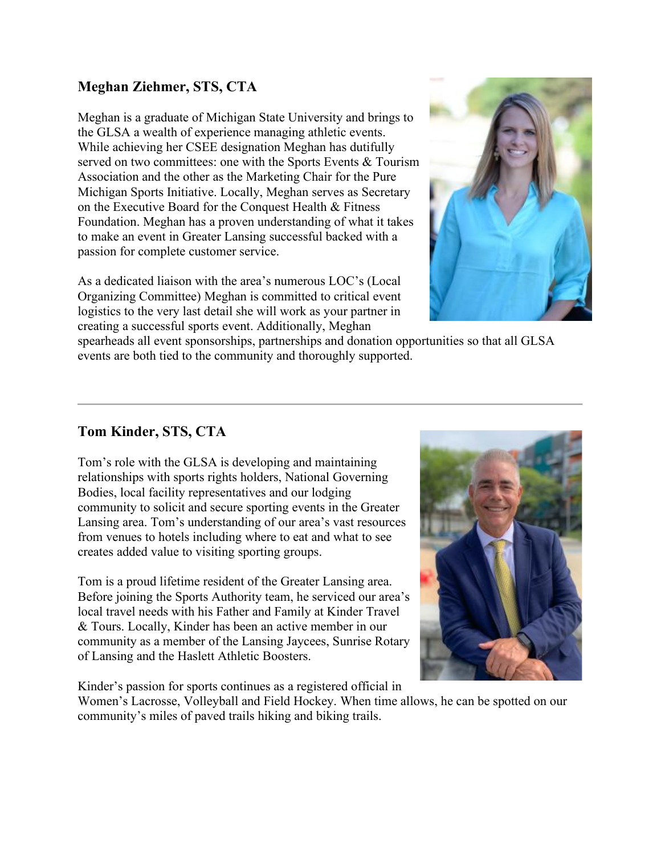## **Meghan Ziehmer, STS, CTA**

Meghan is a graduate of Michigan State University and brings to the GLSA a wealth of experience managing athletic events. While achieving her CSEE designation Meghan has dutifully served on two committees: one with the Sports Events & Tourism Association and the other as the Marketing Chair for the Pure Michigan Sports Initiative. Locally, Meghan serves as Secretary on the Executive Board for the Conquest Health & Fitness Foundation. Meghan has a proven understanding of what it takes to make an event in Greater Lansing successful backed with a passion for complete customer service.

As a dedicated liaison with the area's numerous LOC's (Local Organizing Committee) Meghan is committed to critical event logistics to the very last detail she will work as your partner in creating a successful sports event. Additionally, Meghan



spearheads all event sponsorships, partnerships and donation opportunities so that all GLSA events are both tied to the community and thoroughly supported.

## **Tom Kinder, STS, CTA**

Tom's role with the GLSA is developing and maintaining relationships with sports rights holders, National Governing Bodies, local facility representatives and our lodging community to solicit and secure sporting events in the Greater Lansing area. Tom's understanding of our area's vast resources from venues to hotels including where to eat and what to see creates added value to visiting sporting groups.

Tom is a proud lifetime resident of the Greater Lansing area. Before joining the Sports Authority team, he serviced our area's local travel needs with his Father and Family at Kinder Travel & Tours. Locally, Kinder has been an active member in our community as a member of the Lansing Jaycees, Sunrise Rotary of Lansing and the Haslett Athletic Boosters.

Kinder's passion for sports continues as a registered official in

Women's Lacrosse, Volleyball and Field Hockey. When time allows, he can be spotted on our community's miles of paved trails hiking and biking trails.